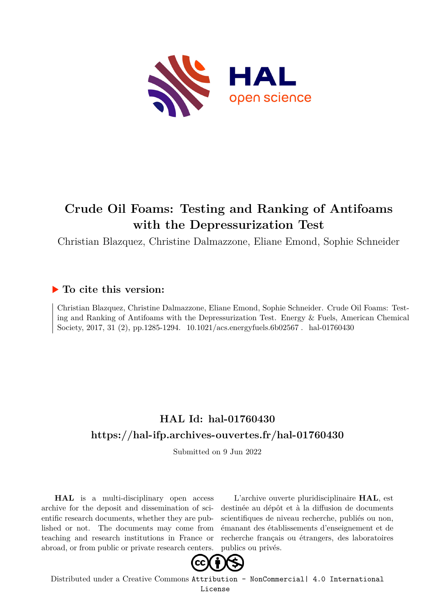

# **Crude Oil Foams: Testing and Ranking of Antifoams with the Depressurization Test**

Christian Blazquez, Christine Dalmazzone, Eliane Emond, Sophie Schneider

## **To cite this version:**

Christian Blazquez, Christine Dalmazzone, Eliane Emond, Sophie Schneider. Crude Oil Foams: Testing and Ranking of Antifoams with the Depressurization Test. Energy & Fuels, American Chemical Society, 2017, 31 (2), pp.1285-1294. 10.1021/acs.energyfuels.6b02567. hal-01760430

# **HAL Id: hal-01760430 <https://hal-ifp.archives-ouvertes.fr/hal-01760430>**

Submitted on 9 Jun 2022

**HAL** is a multi-disciplinary open access archive for the deposit and dissemination of scientific research documents, whether they are published or not. The documents may come from teaching and research institutions in France or abroad, or from public or private research centers.

L'archive ouverte pluridisciplinaire **HAL**, est destinée au dépôt et à la diffusion de documents scientifiques de niveau recherche, publiés ou non, émanant des établissements d'enseignement et de recherche français ou étrangers, des laboratoires publics ou privés.



Distributed under a Creative Commons [Attribution - NonCommercial| 4.0 International](http://creativecommons.org/licenses/by-nc/4.0/) [License](http://creativecommons.org/licenses/by-nc/4.0/)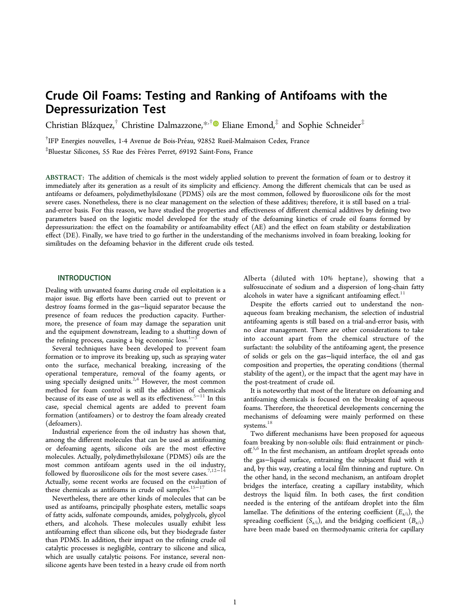## Crude Oil Foams: Testing and Ranking of Antifoams with the Depressurization Test

Christian Blázquez, $^\dagger$  Christine Dalmazzone, $^{*,\dagger}$  $^{*,\dagger}$  $^{*,\dagger}$  Eliane Emond, $^\ddagger$  and Sophie Schneider $^\ddagger$ 

<sup>†</sup>IFP Energies nouvelles, 1-4 Avenue de Bois-Préau, 92852 Rueil-Malmaison Cedex, France

 $^{\ddagger}$ Bluestar Silicones, 55 Rue des Frères Perret, 69192 Saint-Fons, France

ABSTRACT: The addition of chemicals is the most widely applied solution to prevent the formation of foam or to destroy it immediately after its generation as a result of its simplicity and efficiency. Among the different chemicals that can be used as antifoams or defoamers, polydimethylsiloxane (PDMS) oils are the most common, followed by fluorosilicone oils for the most severe cases. Nonetheless, there is no clear management on the selection of these additives; therefore, it is still based on a trialand-error basis. For this reason, we have studied the properties and effectiveness of different chemical additives by defining two parameters based on the logistic model developed for the study of the defoaming kinetics of crude oil foams formed by depressurization: the effect on the foamability or antifoamability effect (AE) and the effect on foam stability or destabilization effect (DE). Finally, we have tried to go further in the understanding of the mechanisms involved in foam breaking, looking for similitudes on the defoaming behavior in the different crude oils tested.

## INTRODUCTION

Dealing with unwanted foams during crude oil exploitation is a major issue. Big efforts have been carried out to prevent or destroy foams formed in the gas−liquid separator because the presence of foam reduces the production capacity. Furthermore, the presence of foam may damage the separation unit and the equipment downstream, leading to a shutting down of the refining process, causing a big economic loss.<sup>[1](#page-10-0)−</sup>

Several techniques have been developed to prevent foam formation or to improve its breaking up, such as spraying water onto the surface, mechanical breaking, increasing of the operational temperature, removal of the foamy agents, or using specially designed units.<sup>[2](#page-10-0),[4](#page-10-0)</sup> However, the most common method for foam control is still the addition of chemicals because of its ease of use as well as its effectiveness.<sup>[5](#page-10-0)−[11](#page-10-0)</sup> In this case, special chemical agents are added to prevent foam formation (antifoamers) or to destroy the foam already created (defoamers).

Industrial experience from the oil industry has shown that, among the different molecules that can be used as antifoaming or defoaming agents, silicone oils are the most effective molecules. Actually, polydimethylsiloxane (PDMS) oils are the most common antifoam agents used in the oil industry, followed by fluorosilicone oils for the most severe cases.<sup>[7,12](#page-10-0)−[14](#page-10-0)</sup> Actually, some recent works are focused on the evaluation of these chemicals as antifoams in crude oil samples.<sup>[15](#page-10-0)−[17](#page-10-0)</sup>

Nevertheless, there are other kinds of molecules that can be used as antifoams, principally phosphate esters, metallic soaps of fatty acids, sulfonate compounds, amides, polyglycols, glycol ethers, and alcohols. These molecules usually exhibit less antifoaming effect than silicone oils, but they biodegrade faster than PDMS. In addition, their impact on the refining crude oil catalytic processes is negligible, contrary to silicone and silica, which are usually catalytic poisons. For instance, several nonsilicone agents have been tested in a heavy crude oil from north

Alberta (diluted with 10% heptane), showing that a sulfosuccinate of sodium and a dispersion of long-chain fatty alcohols in water have a significant antifoaming effect. $11$ 

Despite the efforts carried out to understand the nonaqueous foam breaking mechanism, the selection of industrial antifoaming agents is still based on a trial-and-error basis, with no clear management. There are other considerations to take into account apart from the chemical structure of the surfactant: the solubility of the antifoaming agent, the presence of solids or gels on the gas−liquid interface, the oil and gas composition and properties, the operating conditions (thermal stability of the agent), or the impact that the agent may have in the post-treatment of crude oil.

It is noteworthy that most of the literature on defoaming and antifoaming chemicals is focused on the breaking of aqueous foams. Therefore, the theoretical developments concerning the mechanisms of defoaming were mainly performed on these systems. $^{18}$  $^{18}$  $^{18}$ 

Two different mechanisms have been proposed for aqueous foam breaking by non-soluble oils: fluid entrainment or pinch-off.<sup>[5,6](#page-10-0)</sup> In the first mechanism, an antifoam droplet spreads onto the gas−liquid surface, entraining the subjacent fluid with it and, by this way, creating a local film thinning and rupture. On the other hand, in the second mechanism, an antifoam droplet bridges the interface, creating a capillary instability, which destroys the liquid film. In both cases, the first condition needed is the entering of the antifoam droplet into the film lamellae. The definitions of the entering coefficient ( $E$ <sub>a/i</sub>), the spreading coefficient  $(S_{a/i})$ , and the bridging coefficient  $(B_{a/i})$ have been made based on thermodynamic criteria for capillary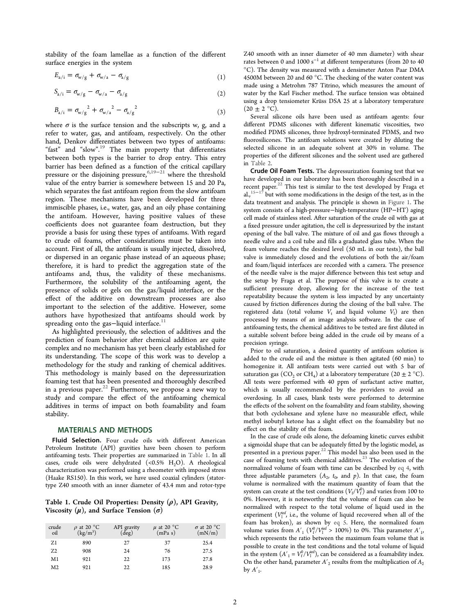<span id="page-2-0"></span>stability of the foam lamellae as a function of the different surface energies in the system

$$
E_{a/i} = \sigma_{w/g} + \sigma_{w/a} - \sigma_{a/g} \tag{1}
$$

$$
S_{a/i} = \sigma_{w/g} - \sigma_{w/a} - \sigma_{a/g} \tag{2}
$$

$$
B_{a/i} = \sigma_{w/g}^2 + \sigma_{w/a}^2 - \sigma_{a/g}^2 \tag{3}
$$

where  $\sigma$  is the surface tension and the subscripts w, g, and a refer to water, gas, and antifoam, respectively. On the other hand, Denkov differentiates between two types of antifoams: "fast" and "slow".<sup>[19](#page-10-0)</sup> The main property that differentiates between both types is the barrier to drop entry. This entry barrier has been defined as a function of the critical capillary pressure or the disjoining pressure,<sup>[6](#page-10-0),[19](#page-10-0)−[21](#page-10-0)</sup> where the threshold value of the entry barrier is somewhere between 15 and 20 Pa, which separates the fast antifoam region from the slow antifoam region. These mechanisms have been developed for three immiscible phases, i.e., water, gas, and an oily phase containing the antifoam. However, having positive values of these coefficients does not guarantee foam destruction, but they provide a basis for using these types of antifoams. With regard to crude oil foams, other considerations must be taken into account. First of all, the antifoam is usually injected, dissolved, or dispersed in an organic phase instead of an aqueous phase; therefore, it is hard to predict the aggregation state of the antifoams and, thus, the validity of these mechanisms. Furthermore, the solubility of the antifoaming agent, the presence of solids or gels on the gas/liquid interface, or the effect of the additive on downstream processes are also important to the selection of the additive. However, some authors have hypothesized that antifoams should work by spreading onto the gas-liquid interface. $^{11}$  $^{11}$  $^{11}$ 

As highlighted previously, the selection of additives and the prediction of foam behavior after chemical addition are quite complex and no mechanism has yet been clearly established for its understanding. The scope of this work was to develop a methodology for the study and ranking of chemical additives. This methodology is mainly based on the depressurization foaming test that has been presented and thoroughly described in a previous paper.<sup>[22](#page-10-0)</sup> Furthermore, we propose a new way to study and compare the effect of the antifoaming chemical additives in terms of impact on both foamability and foam stability.

#### MATERIALS AND METHODS

Fluid Selection. Four crude oils with different American Petroleum Institute (API) gravities have been chosen to perform antifoaming tests. Their properties are summarized in Table 1. In all cases, crude oils were dehydrated  $(<0.5\%$  H<sub>2</sub>O). A rheological characterization was performed using a rheometer with imposed stress (Haake RS150). In this work, we have used coaxial cylinders (statortype Z40 smooth with an inner diameter of 43.4 mm and rotor-type

## Table 1. Crude Oil Properties: Density  $(\rho)$ , API Gravity, Viscosity  $(\mu)$ , and Surface Tension  $(\sigma)$

| crude<br>oil   | $\rho$ at 20 °C<br>$\left({\rm kg/m^3}\right)$ | API gravity<br>(deg) | $\mu$ at 20 °C<br>(mPa s) | $\sigma$ at 20 °C<br>(mN/m) |
|----------------|------------------------------------------------|----------------------|---------------------------|-----------------------------|
| Z <sub>1</sub> | 890                                            | 27                   | 37                        | 25.4                        |
| 72             | 908                                            | 24                   | 76                        | 27.5                        |
| M1             | 921                                            | 22                   | 173                       | 27.8                        |
| M <sub>2</sub> | 921                                            | 22                   | 185                       | 28.9                        |

Z40 smooth with an inner diameter of 40 mm diameter) with shear rates between 0 and 1000  $\rm s^{-1}$  at different temperatures (from 20 to 40 °C). The density was measured with a densimeter Anton Paar DMA 4500M between 20 and 60 °C. The checking of the water content was made using a Metrohm 787 Titrino, which measures the amount of water by the Karl Fischer method. The surface tension was obtained using a drop tensiometer Krüss DSA 25 at a laboratory temperature  $(20 \pm 2 \degree C)$ .

Several silicone oils have been used as antifoam agents: four different PDMS silicones with different kinematic viscosities, two modified PDMS silicones, three hydroxyl-terminated PDMS, and two fluorosilicones. The antifoam solutions were created by diluting the selected silicone in an adequate solvent at 30% in volume. The properties of the different silicones and the solvent used are gathered in [Table 2.](#page-3-0)

Crude Oil Foam Tests. The depressurization foaming test that we have developed in our laboratory has been thoroughly described in a recent paper.<sup>[22](#page-10-0)</sup> This test is similar to the test developed by Fraga et al.,<sup>[15](#page-10-0)−[17](#page-10-0)</sup> but with some modifications in the design of the test, as in the data treatment and analysis. The principle is shown in [Figure 1.](#page-3-0) The system consists of a high-pressure−high-temperature (HP−HT) aging cell made of stainless steel. After saturation of the crude oil with gas at a fixed pressure under agitation, the cell is depressurized by the instant opening of the ball valve. The mixture of oil and gas flows through a needle valve and a coil tube and fills a graduated glass tube. When the foam volume reaches the desired level (50 mL in our tests), the ball valve is immediately closed and the evolutions of both the air/foam and foam/liquid interfaces are recorded with a camera. The presence of the needle valve is the major difference between this test setup and the setup by Fraga et al. The purpose of this valve is to create a sufficient pressure drop, allowing for the increase of the test repeatability because the system is less impacted by any uncertainty caused by friction differences during the closing of the ball valve. The registered data (total volume  $V_t$  and liquid volume  $V_l$ ) are then processed by means of an image analysis software. In the case of antifoaming tests, the chemical additives to be tested are first diluted in a suitable solvent before being added in the crude oil by means of a precision syringe.

Prior to oil saturation, a desired quantity of antifoam solution is added to the crude oil and the mixture is then agitated (60 min) to homogenize it. All antifoam tests were carried out with 5 bar of saturation gas (CO<sub>2</sub> or CH<sub>4</sub>) at a laboratory temperature (20  $\pm$  2 °C). All tests were performed with 40 ppm of surfactant active matter, which is usually recommended by the providers to avoid an overdosing. In all cases, blank tests were performed to determine the effects of the solvent on the foamability and foam stability, showing that both cyclohexane and xylene have no measurable effect, while methyl isobutyl ketone has a slight effect on the foamability but no effect on the stability of the foam.

In the case of crude oils alone, the defoaming kinetic curves exhibit a sigmoidal shape that can be adequately fitted by the logistic model, as presented in a previous paper. $^{22}$  $^{22}$  $^{22}$  This model has also been used in the case of foaming tests with chemical additives.<sup>[23](#page-10-0)</sup> The evolution of the normalized volume of foam with time can be described by eq 4, with three adjustable parameters  $(A_2, t_0, \text{ and } p)$ . In that case, the foam volume is normalized with the maximum quantity of foam that the system can create at the test conditions  $\left(V_{\text{f}}/V_{\text{f}}^0\right)$  and varies from 100 to 0%. However, it is noteworthy that the volume of foam can also be normalized with respect to the total volume of liquid used in the experiment  $(V^{\text{inf}}_{1})$ , i.e., the volume of liquid recovered when all of the foam has broken), as shown by [eq 5](#page-3-0). Here, the normalized foam volume varies from  $A'_1$  ( $V_f^0/V_1^{\text{inf}} > 100\%$ ) to 0%. This parameter  $A'_1$ , which represents the ratio between the maximum foam volume that is possible to create in the test conditions and the total volume of liquid in the system  $(A'_1 = V_f^0/V_1^{\text{inf}})$ , can be considered as a foamability index. On the other hand, parameter  $A^\prime_{\ 2}$  results from the multiplication of  $A_2$ by  $A'_{1}$ . .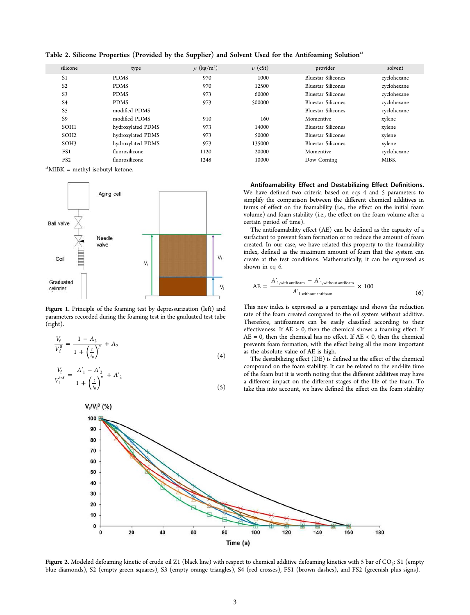| silicone         | type              | $\rho$ (kg/m <sup>3</sup> ) | $\nu$ (cSt) | provider                  | solvent     |
|------------------|-------------------|-----------------------------|-------------|---------------------------|-------------|
| S <sub>1</sub>   | <b>PDMS</b>       | 970                         | 1000        | <b>Bluestar Silicones</b> | cyclohexane |
| S <sub>2</sub>   | <b>PDMS</b>       | 970                         | 12500       | <b>Bluestar Silicones</b> | cyclohexane |
| S <sub>3</sub>   | <b>PDMS</b>       | 973                         | 60000       | <b>Bluestar Silicones</b> | cyclohexane |
| S <sub>4</sub>   | <b>PDMS</b>       | 973                         | 500000      | <b>Bluestar Silicones</b> | cyclohexane |
| S <sub>5</sub>   | modified PDMS     |                             |             | <b>Bluestar Silicones</b> | cyclohexane |
| S <sub>9</sub>   | modified PDMS     | 910                         | 160         | Momentive                 | xylene      |
| SOH <sub>1</sub> | hydroxylated PDMS | 973                         | 14000       | <b>Bluestar Silicones</b> | xylene      |
| SOH <sub>2</sub> | hydroxylated PDMS | 973                         | 50000       | <b>Bluestar Silicones</b> | xylene      |
| SOH <sub>3</sub> | hydroxylated PDMS | 973                         | 135000      | <b>Bluestar Silicones</b> | xylene      |
| FS1              | fluorosilicone    | 1120                        | 20000       | Momentive                 | cyclohexane |
| FS <sub>2</sub>  | fluorosilicone    | 1248                        | 10000       | Dow Corning               | <b>MIBK</b> |
|                  |                   |                             |             |                           |             |

<span id="page-3-0"></span>Table 2. Silicone Properties (Provided by the Supplier) and Solvent Used for the Antifoaming Solution<sup>a</sup>

*a*MIBK = methyl isobutyl ketone.



Figure 1. Principle of the foaming test by depressurization (left) and parameters recorded during the foaming test in the graduated test tube (right).

$$
\frac{V_{\rm f}}{V_{\rm f}^0} = \frac{1 - A_2}{1 + \left(\frac{t}{t_0}\right)^p} + A_2
$$
\n(4)

$$
\frac{V_{\rm f}}{V_1^{\rm inf}} = \frac{A_1' - A_2'}{1 + \left(\frac{t}{t_0}\right)^p} + A_2' \tag{5}
$$

Antifoamability Effect and Destabilizing Effect Definitions. We have defined two criteria based on [eqs 4](#page-2-0) and 5 parameters to simplify the comparison between the different chemical additives in terms of effect on the foamability (i.e., the effect on the initial foam volume) and foam stability (i.e., the effect on the foam volume after a certain period of time).

The antifoamability effect (AE) can be defined as the capacity of a surfactant to prevent foam formation or to reduce the amount of foam created. In our case, we have related this property to the foamability index, defined as the maximum amount of foam that the system can create at the test conditions. Mathematically, it can be expressed as shown in eq 6.

$$
AE = \frac{A'_{1,\text{with antifoam}} - A'_{1,\text{without antifoam}}}{A'_{1,\text{without antifoam}}} \times 100
$$
 (6)

This new index is expressed as a percentage and shows the reduction rate of the foam created compared to the oil system without additive. Therefore, antifoamers can be easily classified according to their effectiveness. If  $AE > 0$ , then the chemical shows a foaming effect. If  $AE = 0$ , then the chemical has no effect. If  $AE < 0$ , then the chemical prevents foam formation, with the effect being all the more important as the absolute value of AE is high.

The destabilizing effect (DE) is defined as the effect of the chemical compound on the foam stability. It can be related to the end-life time of the foam but it is worth noting that the different additives may have a different impact on the different stages of the life of the foam. To take this into account, we have defined the effect on the foam stability



**Figure 2.** Modeled defoaming kinetic of crude oil Z1 (black line) with respect to chemical additive defoaming kinetics with 5 bar of CO<sub>2</sub>: S1 (empty blue diamonds), S2 (empty green squares), S3 (empty orange triangles), S4 (red crosses), FS1 (brown dashes), and FS2 (greenish plus signs).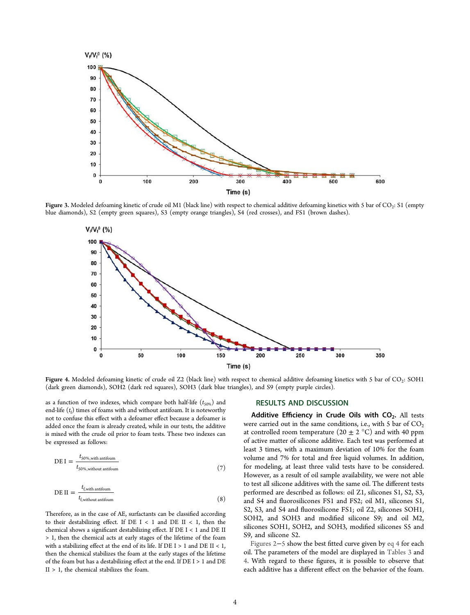<span id="page-4-0"></span>

Figure 3. Modeled defoaming kinetic of crude oil M1 (black line) with respect to chemical additive defoaming kinetics with 5 bar of CO<sup>2</sup> : S1 (empty blue diamonds), S2 (empty green squares), S3 (empty orange triangles), S4 (red crosses), and FS1 (brown dashes).



**Figure 4.** Modeled defoaming kinetic of crude oil Z2 (black line) with respect to chemical additive defoaming kinetics with 5 bar of CO<sub>2</sub>: SOH1 (dark green diamonds), SOH2 (dark red squares), SOH3 (dark blue triangles), and S9 (empty purple circles).

as a function of two indexes, which compare both half-life  $(t_{50\%})$  and end-life  $(t_f)$  times of foams with and without antifoam. It is noteworthy not to confuse this effect with a defoamer effect because a defoamer is added once the foam is already created, while in our tests, the additive is mixed with the crude oil prior to foam tests. These two indexes can be expressed as follows:

$$
DE I = \frac{t_{50\%,\text{with antifoam}}}{t_{50\%,\text{without antifoam}}} \tag{7}
$$

$$
DE II = \frac{t_{f, with antifoam}}{t_{f, without antifoam}}
$$
\n(8)

Therefore, as in the case of AE, surfactants can be classified according to their destabilizing effect. If  $DE I < 1$  and  $DE II < 1$ , then the chemical shows a significant destabilizing effect. If DE I < 1 and DE II > 1, then the chemical acts at early stages of the lifetime of the foam with a stabilizing effect at the end of its life. If  $DE I > 1$  and  $DE II < 1$ , then the chemical stabilizes the foam at the early stages of the lifetime of the foam but has a destabilizing effect at the end. If DE I > 1 and DE II > 1, the chemical stabilizes the foam.

## RESULTS AND DISCUSSION

Additive Efficiency in Crude Oils with  $CO<sub>2</sub>$ . All tests were carried out in the same conditions, i.e., with 5 bar of  $CO<sub>2</sub>$ at controlled room temperature  $(20 \pm 2 \degree C)$  and with 40 ppm of active matter of silicone additive. Each test was performed at least 3 times, with a maximum deviation of 10% for the foam volume and 7% for total and free liquid volumes. In addition, for modeling, at least three valid tests have to be considered. However, as a result of oil sample availability, we were not able to test all silicone additives with the same oil. The different tests performed are described as follows: oil Z1, silicones S1, S2, S3, and S4 and fluorosilicones FS1 and FS2; oil M1, silicones S1, S2, S3, and S4 and fluorosilicone FS1; oil Z2, silicones SOH1, SOH2, and SOH3 and modified silicone S9; and oil M2, silicones SOH1, SOH2, and SOH3, modified silicones S5 and S9, and silicone S2.

[Figures 2](#page-3-0)−[5](#page-5-0) show the best fitted curve given by [eq 4](#page-2-0) for each oil. The parameters of the model are displayed in [Tables 3](#page-5-0) and [4](#page-5-0). With regard to these figures, it is possible to observe that each additive has a different effect on the behavior of the foam.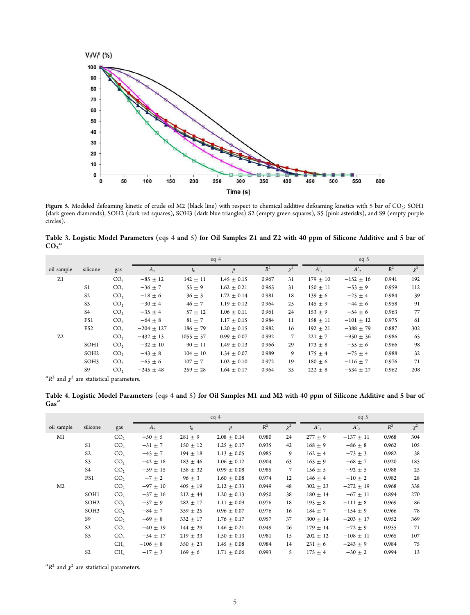<span id="page-5-0"></span>

**Figure 5.** Modeled defoaming kinetic of crude oil M2 (black line) with respect to chemical additive defoaming kinetics with 5 bar of CO<sub>2</sub>: SOH1 (dark green diamonds), SOH2 (dark red squares), SOH3 (dark blue triangles) S2 (empty green squares), S5 (pink asterisks), and S9 (empty purple circles).

Table 3. Logistic Model Parameters [\(eqs 4](#page-2-0) and [5\)](#page-3-0) for Oil Samples Z1 and Z2 with 40 ppm of Silicone Additive and 5 bar of  $\overline{CO_2}^a$ 

|                |                  |                 |                |               | eq4              |       |                |              | eq <sub>5</sub> |       |          |
|----------------|------------------|-----------------|----------------|---------------|------------------|-------|----------------|--------------|-----------------|-------|----------|
| oil sample     | silicone         | gas             | A <sub>2</sub> | $t_0$         | $\boldsymbol{p}$ | $R^2$ | $\chi^2$       | $A'_1$       | $A'_2$          | $R^2$ | $\chi^2$ |
| Z <sub>1</sub> |                  | CO <sub>2</sub> | $-85 \pm 12$   | $142 \pm 11$  | $1.45 \pm 0.15$  | 0.967 | 31             | $179 \pm 10$ | $-152 \pm 16$   | 0.941 | 192      |
|                | S <sub>1</sub>   | CO <sub>2</sub> | $-36 \pm 7$    | $55 \pm 9$    | $1.62 \pm 0.21$  | 0.965 | 31             | $150 \pm 11$ | $-53 \pm 9$     | 0.959 | 112      |
|                | S <sub>2</sub>   | CO <sub>2</sub> | $-18 \pm 6$    | $36 \pm 3$    | $1.72 \pm 0.14$  | 0.981 | 18             | $139 \pm 6$  | $-25 \pm 4$     | 0.984 | 39       |
|                | S <sub>3</sub>   | CO <sub>2</sub> | $-30 \pm 4$    | $46 \pm 7$    | $1.19 \pm 0.12$  | 0.964 | 25             | $145 \pm 9$  | $-44 \pm 6$     | 0.958 | 91       |
|                | S4               | CO <sub>2</sub> | $-35 \pm 4$    | $57 \pm 12$   | $1.06 \pm 0.11$  | 0.961 | 24             | $153 \pm 9$  | $-54 \pm 6$     | 0.963 | 77       |
|                | FS1              | CO <sub>2</sub> | $-64 \pm 8$    | $81 \pm 7$    | $1.17 \pm 0.15$  | 0.984 | 11             | $158 \pm 11$ | $-101 \pm 12$   | 0.975 | 61       |
|                | FS <sub>2</sub>  | CO <sub>2</sub> | $-204 \pm 127$ | $186 \pm 79$  | $1.20 \pm 0.15$  | 0.982 | 16             | $192 \pm 21$ | $-388 \pm 79$   | 0.887 | 302      |
| Z <sub>2</sub> |                  | CO <sub>2</sub> | $-432 \pm 13$  | $1055 \pm 57$ | $0.99 \pm 0.07$  | 0.992 | $\overline{7}$ | $221 \pm 7$  | $-950 \pm 36$   | 0.986 | 65       |
|                | SOH1             | CO <sub>2</sub> | $-32 \pm 10$   | $90 \pm 11$   | $1.49 \pm 0.13$  | 0.966 | 29             | $173 \pm 8$  | $-55 \pm 6$     | 0.966 | 98       |
|                | SOH <sub>2</sub> | CO <sub>2</sub> | $-43 \pm 8$    | $104 \pm 10$  | $1.34 \pm 0.07$  | 0.989 | 9              | $175 \pm 4$  | $-75 \pm 4$     | 0.988 | 32       |
|                | SOH3             | CO <sub>2</sub> | $-65 \pm 6$    | $107 \pm 7$   | $1.02 \pm 0.10$  | 0.972 | 19             | $180 \pm 6$  | $-116 \pm 7$    | 0.976 | 71       |
|                | S9               | CO <sub>2</sub> | $-245 \pm 48$  | $259 \pm 28$  | $1.64 \pm 0.17$  | 0.964 | 35             | $222 \pm 8$  | $-534 \pm 27$   | 0.962 | 208      |
| $-2$           |                  |                 |                |               |                  |       |                |              |                 |       |          |

 ${}^aR^2$  and  $\chi^2$  are statistical parameters.

Table 4. Logistic Model Parameters [\(eqs 4](#page-2-0) and [5\)](#page-3-0) for Oil Samples M1 and M2 with 40 ppm of Silicone Additive and 5 bar of  $\operatorname{Gas}^a$ 

|                |                  |                 |              |              | eq4              |       |          |              | eq <sub>5</sub> |       |          |
|----------------|------------------|-----------------|--------------|--------------|------------------|-------|----------|--------------|-----------------|-------|----------|
| oil sample     | silicone         | gas             | $A_{2}$      | $t_0$        | $\boldsymbol{p}$ | $R^2$ | $\chi^2$ | $A'_1$       | A'              | $R^2$ | $\chi^2$ |
| M1             |                  | CO <sub>2</sub> | $-50 \pm 5$  | $281 \pm 9$  | $2.08 \pm 0.14$  | 0.980 | 24       | $277 \pm 9$  | $-137 \pm 11$   | 0.968 | 304      |
|                | S1               | CO <sub>2</sub> | $-51 \pm 7$  | $150 \pm 12$ | $1.25 \pm 0.17$  | 0.935 | 42       | $168 \pm 9$  | $-86 \pm 8$     | 0.962 | 105      |
|                | S <sub>2</sub>   | CO <sub>2</sub> | $-45 \pm 7$  | $194 \pm 18$ | $1.13 \pm 0.05$  | 0.985 | 9        | $162 \pm 4$  | $-73 \pm 3$     | 0.982 | 38       |
|                | S <sub>3</sub>   | CO <sub>2</sub> | $-42 \pm 18$ | $183 \pm 46$ | $1.06 \pm 0.12$  | 0.904 | 63       | $163 \pm 9$  | $-68 \pm 7$     | 0.920 | 185      |
|                | S4               | CO <sub>2</sub> | $-59 \pm 15$ | $158 \pm 32$ | $0.99 \pm 0.08$  | 0.985 | 7        | $156 \pm 5$  | $-92 \pm 5$     | 0.988 | 25       |
|                | FS1              | CO <sub>2</sub> | $-7 \pm 2$   | $96 \pm 3$   | $1.60 \pm 0.08$  | 0.974 | 12       | $146 \pm 4$  | $-10 \pm 2$     | 0.982 | 28       |
| M <sub>2</sub> |                  | CO <sub>2</sub> | $-97 \pm 10$ | $405 \pm 19$ | $2.12 \pm 0.33$  | 0.949 | 48       | $302 \pm 23$ | $-272 \pm 19$   | 0.968 | 338      |
|                | SOH1             | CO <sub>2</sub> | $-37 \pm 16$ | $212 \pm 44$ | $1.20 \pm 0.13$  | 0.950 | 38       | $180 \pm 14$ | $-67 \pm 11$    | 0.894 | 270      |
|                | SOH <sub>2</sub> | CO <sub>2</sub> | $-57 \pm 9$  | $282 \pm 17$ | $1.11 \pm 0.09$  | 0.976 | 18       | $195 \pm 8$  | $-111 \pm 8$    | 0.969 | 86       |
|                | SOH3             | CO <sub>2</sub> | $-84 \pm 7$  | $359 \pm 25$ | $0.96 \pm 0.07$  | 0.976 | 16       | $184 \pm 7$  | $-154 \pm 9$    | 0.966 | 78       |
|                | S9               | CO <sub>2</sub> | $-69 \pm 8$  | $332 \pm 17$ | $1.76 \pm 0.17$  | 0.957 | 37       | $300 \pm 14$ | $-203 \pm 17$   | 0.952 | 369      |
|                | S <sub>2</sub>   | CO <sub>2</sub> | $-40 \pm 19$ | $144 \pm 29$ | $1.46 \pm 0.21$  | 0.949 | 26       | $179 \pm 14$ | $-72 \pm 9$     | 0.955 | 71       |
|                | S5               | CO <sub>2</sub> | $-54 \pm 17$ | $219 \pm 33$ | $1.50 \pm 0.13$  | 0.981 | 15       | $202 \pm 12$ | $-108 \pm 11$   | 0.965 | 107      |
|                |                  | CH <sub>4</sub> | $-106 \pm 8$ | $550 \pm 23$ | $1.45 \pm 0.08$  | 0.984 | 14       | $231 \pm 6$  | $-243 \pm 9$    | 0.984 | 75       |
|                | S <sub>2</sub>   | CH <sub>4</sub> | $-17 \pm 3$  | $169 \pm 6$  | $1.71 \pm 0.06$  | 0.993 | 5        | $175 \pm 4$  | $-30 \pm 2$     | 0.994 | 13       |

 ${}^aR^2$  and  $\chi^2$  are statistical parameters.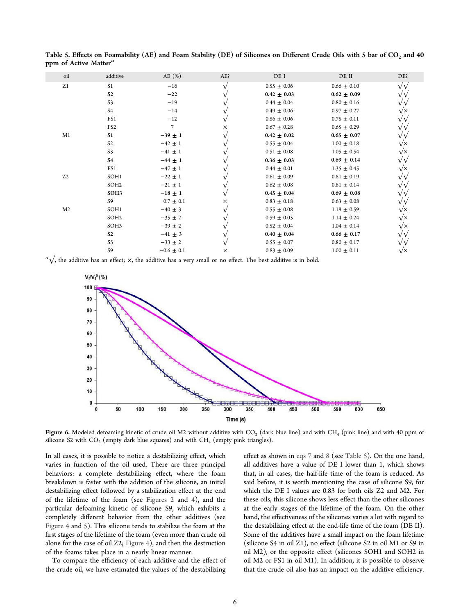| oil            | additive         | AE $(\% )$     | AE?      | DE I            | DE II           | DE?               |
|----------------|------------------|----------------|----------|-----------------|-----------------|-------------------|
| Z1             | S <sub>1</sub>   | $-16$          |          | $0.55 \pm 0.06$ | $0.66 \pm 0.10$ | $\sqrt{\sqrt{2}}$ |
|                | S <sub>2</sub>   | $-22$          |          | $0.42 \pm 0.03$ | $0.62 \pm 0.09$ |                   |
|                | S <sub>3</sub>   | $-19$          |          | $0.44 \pm 0.04$ | $0.80 \pm 0.16$ |                   |
|                | S4               | $-14$          |          | $0.49 \pm 0.06$ | $0.97 \pm 0.27$ | $\sqrt{\times}$   |
|                | FS1              | $-12$          |          | $0.56 \pm 0.06$ | $0.75 \pm 0.11$ |                   |
|                | FS <sub>2</sub>  | 7              | X        | $0.67 \pm 0.28$ | $0.65 \pm 0.29$ |                   |
| M1             | S <sub>1</sub>   | $-39 \pm 1$    |          | $0.42 \pm 0.02$ | $0.65 \pm 0.07$ |                   |
|                | S <sub>2</sub>   | $-42 \pm 1$    |          | $0.55 \pm 0.04$ | $1.00 \pm 0.18$ | VΧ                |
|                | S <sub>3</sub>   | $-41 \pm 1$    |          | $0.51 \pm 0.08$ | $1.05 \pm 0.54$ | $\sqrt{\times}$   |
|                | <b>S4</b>        | $-44 \pm 1$    |          | $0.36 \pm 0.03$ | $0.69 \pm 0.14$ |                   |
|                | FS1              | $-47 \pm 1$    |          | $0.44 \pm 0.01$ | $1.35 \pm 0.45$ | √×                |
| Z <sub>2</sub> | SOH1             | $-22 \pm 1$    |          | $0.61 \pm 0.09$ | $0.81 \pm 0.19$ |                   |
|                | SOH <sub>2</sub> | $-21 \pm 1$    |          | $0.62 \pm 0.08$ | $0.81 \pm 0.14$ |                   |
|                | SOH3             | $-18 \pm 1$    |          | $0.45 \pm 0.04$ | $0.69 \pm 0.08$ |                   |
|                | S9               | $0.7 \pm 0.1$  | X        | $0.83 \pm 0.18$ | $0.63 \pm 0.08$ |                   |
| M <sub>2</sub> | SOH1             | $-40 \pm 3$    |          | $0.55 \pm 0.08$ | $1.18 \pm 0.59$ | $\sqrt{\times}$   |
|                | SOH <sub>2</sub> | $-35 \pm 2$    |          | $0.59 \pm 0.05$ | $1.14 \pm 0.24$ | $\sqrt{\times}$   |
|                | SOH3             | $-39 \pm 2$    |          | $0.52 \pm 0.04$ | $1.04 \pm 0.14$ | $\sqrt{\times}$   |
|                | S <sub>2</sub>   | $-41 \pm 3$    |          | $0.40 \pm 0.04$ | $0.66 \pm 0.17$ |                   |
|                | S5               | $-33 \pm 2$    |          | $0.55 \pm 0.07$ | $0.80 \pm 0.17$ |                   |
|                | S9               | $-0.6 \pm 0.1$ | $\times$ | $0.83 \pm 0.09$ | $1.00 \pm 0.11$ | VΧ                |
|                |                  |                |          |                 |                 |                   |

<span id="page-6-0"></span>Table 5. Effects on Foamability (AE) and Foam Stability (DE) of Silicones on Different Crude Oils with 5 bar of CO<sub>2</sub> and 40 ppm of Active Matter<sup>a</sup>

*a*√, the additive has an effect; ×, the additive has a very small or no effect. The best additive is in bold.



**Figure 6.** Modeled defoaming kinetic of crude oil M2 without additive with CO<sub>2</sub> (dark blue line) and with CH<sub>4</sub> (pink line) and with 40 ppm of silicone S2 with  $CO_2$  (empty dark blue squares) and with  $CH_4$  (empty pink triangles).

In all cases, it is possible to notice a destabilizing effect, which varies in function of the oil used. There are three principal behaviors: a complete destabilizing effect, where the foam breakdown is faster with the addition of the silicone, an initial destabilizing effect followed by a stabilization effect at the end of the lifetime of the foam (see [Figures 2](#page-3-0) and [4](#page-4-0)), and the particular defoaming kinetic of silicone S9, which exhibits a completely different behavior from the other additives (see [Figure 4](#page-4-0) and [5](#page-5-0)). This silicone tends to stabilize the foam at the first stages of the lifetime of the foam (even more than crude oil alone for the case of oil Z2; [Figure 4\)](#page-4-0), and then the destruction of the foams takes place in a nearly linear manner.

To compare the efficiency of each additive and the effect of the crude oil, we have estimated the values of the destabilizing

effect as shown in [eqs 7](#page-4-0) and [8](#page-4-0) (see Table 5). On the one hand, all additives have a value of DE I lower than 1, which shows that, in all cases, the half-life time of the foam is reduced. As said before, it is worth mentioning the case of silicone S9, for which the DE I values are 0.83 for both oils Z2 and M2. For these oils, this silicone shows less effect than the other silicones at the early stages of the lifetime of the foam. On the other hand, the effectiveness of the silicones varies a lot with regard to the destabilizing effect at the end-life time of the foam (DE II). Some of the additives have a small impact on the foam lifetime (silicone S4 in oil Z1), no effect (silicone S2 in oil M1 or S9 in oil M2), or the opposite effect (silicones SOH1 and SOH2 in oil M2 or FS1 in oil M1). In addition, it is possible to observe that the crude oil also has an impact on the additive efficiency.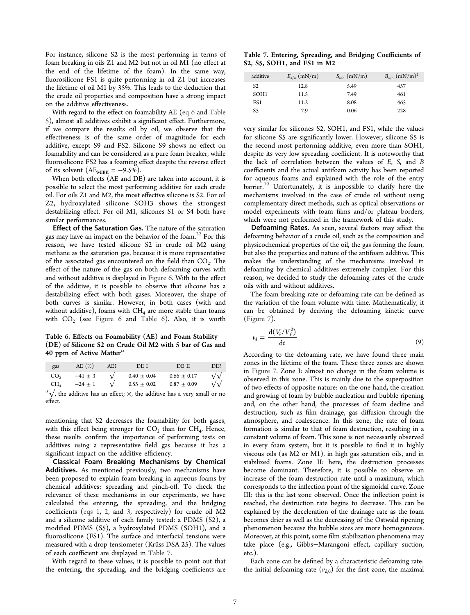For instance, silicone S2 is the most performing in terms of foam breaking in oils Z1 and M2 but not in oil M1 (no effect at the end of the lifetime of the foam). In the same way, fluorosilicone FS1 is quite performing in oil Z1 but increases the lifetime of oil M1 by 35%. This leads to the deduction that the crude oil properties and composition have a strong impact on the additive effectiveness.

With regard to the effect on foamability AE ([eq 6](#page-3-0) and [Table](#page-6-0) [5](#page-6-0)), almost all additives exhibit a significant effect. Furthermore, if we compare the results oil by oil, we observe that the effectiveness is of the same order of magnitude for each additive, except S9 and FS2. Silicone S9 shows no effect on foamability and can be considered as a pure foam breaker, while fluorosilicone FS2 has a foaming effect despite the reverse effect of its solvent  $(AE_{MBK} = -9.5\%)$ .

When both effects (AE and DE) are taken into account, it is possible to select the most performing additive for each crude oil. For oils Z1 and M2, the most effective silicone is S2. For oil Z2, hydroxylated silicone SOH3 shows the strongest destabilizing effect. For oil M1, silicones S1 or S4 both have similar performances.

Effect of the Saturation Gas. The nature of the saturation gas may have an impact on the behavior of the foam.<sup>[22](#page-10-0)</sup> For this reason, we have tested silicone S2 in crude oil M2 using methane as the saturation gas, because it is more representative of the associated gas encountered on the field than  $CO_2$ . The effect of the nature of the gas on both defoaming curves with and without additive is displayed in [Figure 6.](#page-6-0) With to the effect of the additive, it is possible to observe that silicone has a destabilizing effect with both gases. Moreover, the shape of both curves is similar. However, in both cases (with and without additive), foams with  $CH_4$  are more stable than foams with  $CO_2$  (see [Figure 6](#page-6-0) and Table 6). Also, it is worth

Table 6. Effects on Foamability (AE) and Foam Stability (DE) of Silicone S2 on Crude Oil M2 with 5 bar of Gas and 40 ppm of Active Matter $a$ 

| gas             | AE(%)       | AE? | DE I            | DE II           | DE?              |
|-----------------|-------------|-----|-----------------|-----------------|------------------|
| CO <sub>2</sub> | $-41 \pm 3$ |     | $0.40 \pm 0.04$ | $0.66 \pm 0.17$ | $\sqrt{\sqrt{}}$ |
| CH.             | $-24 \pm 1$ |     | $0.55 \pm 0.02$ | $0.87 \pm 0.09$ | $\sqrt{\sqrt{}}$ |

 $a<sup>a</sup>\sqrt{ }$ , the additive has an effect;  $\times$ , the additive has a very small or no effect.

mentioning that S2 decreases the foamability for both gases, with this effect being stronger for  $CO_2$  than for  $CH_4$ . Hence, these results confirm the importance of performing tests on additives using a representative field gas because it has a significant impact on the additive efficiency.

Classical Foam Breaking Mechanisms by Chemical Additives. As mentioned previously, two mechanisms have been proposed to explain foam breaking in aqueous foams by chemical additives: spreading and pinch-off. To check the relevance of these mechanisms in our experiments, we have calculated the entering, the spreading, and the bridging coefficients [\(eqs 1,](#page-2-0) [2](#page-2-0), and [3,](#page-2-0) respectively) for crude oil M2 and a silicone additive of each family tested: a PDMS (S2), a modified PDMS (S5), a hydroxylated PDMS (SOH1), and a fluorosilicone (FS1). The surface and interfacial tensions were measured with a drop tensiometer (Krüss DSA 25). The values of each coefficient are displayed in Table 7.

With regard to these values, it is possible to point out that the entering, the spreading, and the bridging coefficients are

Table 7. Entering, Spreading, and Bridging Coefficients of S2, S5, SOH1, and FS1 in M2

| additive         | $E_{a/o}$ (mN/m) | $S_{a/o}$ (mN/m) | $B_{a/o}$ (mN/m) <sup>2</sup> |
|------------------|------------------|------------------|-------------------------------|
| S <sub>2</sub>   | 12.8             | 5.49             | 457                           |
| SOH <sub>1</sub> | 11.5             | 7.49             | 461                           |
| FS1              | 11.2             | 8.08             | 465                           |
| S5               | 7.9              | 0.06             | 228                           |

very similar for silicones S2, SOH1, and FS1, while the values for silicone S5 are significantly lower. However, silicone S5 is the second most performing additive, even more than SOH1, despite its very low spreading coefficient. It is noteworthy that the lack of correlation between the values of *E*, *S*, and *B* coefficients and the actual antifoam activity has been reported for aqueous foams and explained with the role of the entry barrier.<sup>[19](#page-10-0)</sup> Unfortunately, it is impossible to clarify here the mechanisms involved in the case of crude oil without using complementary direct methods, such as optical observations or model experiments with foam films and/or plateau borders, which were not performed in the framework of this study.

Defoaming Rates. As seen, several factors may affect the defoaming behavior of a crude oil, such as the composition and physicochemical properties of the oil, the gas forming the foam, but also the properties and nature of the antifoam additive. This makes the understanding of the mechanisms involved in defoaming by chemical additives extremely complex. For this reason, we decided to study the defoaming rates of the crude oils with and without additives.

The foam breaking rate or defoaming rate can be defined as the variation of the foam volume with time. Mathematically, it can be obtained by deriving the defoaming kinetic curve [\(Figure 7\)](#page-8-0).

$$
v_{\rm d} = \frac{\mathrm{d}(V_{\rm f}/V_{\rm f}^0)}{\mathrm{d}t} \tag{9}
$$

According to the defoaming rate, we have found three main zones in the lifetime of the foam. These three zones are shown in [Figure 7.](#page-8-0) Zone I: almost no change in the foam volume is observed in this zone. This is mainly due to the superposition of two effects of opposite nature: on the one hand, the creation and growing of foam by bubble nucleation and bubble ripening and, on the other hand, the processes of foam decline and destruction, such as film drainage, gas diffusion through the atmosphere, and coalescence. In this zone, the rate of foam formation is similar to that of foam destruction, resulting in a constant volume of foam. This zone is not necessarily observed in every foam system, but it is possible to find it in highly viscous oils (as M2 or M1), in high gas saturation oils, and in stabilized foams. Zone II: here, the destruction processes become dominant. Therefore, it is possible to observe an increase of the foam destruction rate until a maximum, which corresponds to the inflection point of the sigmoidal curve. Zone III: this is the last zone observed. Once the inflection point is reached, the destruction rate begins to decrease. This can be explained by the deceleration of the drainage rate as the foam becomes drier as well as the decreasing of the Ostwald ripening phenomenon because the bubble sizes are more homogeneous. Moreover, at this point, some film stabilization phenomena may take place (e.g., Gibbs−Marangoni effect, capillary suction, etc.).

Each zone can be defined by a characteristic defoaming rate: the initial defoaming rate  $(v_{d,0})$  for the first zone, the maximal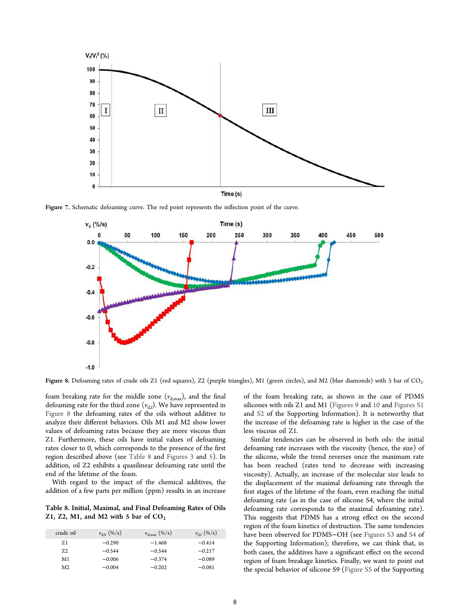<span id="page-8-0"></span>

Figure 7. Schematic defoaming curve. The red point represents the inflection point of the curve.



Figure 8. Defoaming rates of crude oils Z1 (red squares), Z2 (purple triangles), M1 (green circles), and M2 (blue diamonds) with 5 bar of  $CO<sub>2</sub>$ . .

foam breaking rate for the middle zone  $(v_{d,max})$ , and the final defoaming rate for the third zone  $(v_{d,f})$ . We have represented in Figure 8 the defoaming rates of the oils without additive to analyze their different behaviors. Oils M1 and M2 show lower values of defoaming rates because they are more viscous than Z1. Furthermore, these oils have initial values of defoaming rates closer to 0, which corresponds to the presence of the first region described above (see Table 8 and [Figures 3](#page-4-0) and [5](#page-5-0)). In addition, oil Z2 exhibits a quasilinear defoaming rate until the end of the lifetime of the foam.

With regard to the impact of the chemical additives, the addition of a few parts per million (ppm) results in an increase

Table 8. Initial, Maximal, and Final Defoaming Rates of Oils Z1, Z2, M1, and M2 with 5 bar of  $CO<sub>2</sub>$ 

| crude oil      | $v_{d,0}$ (%/s) | $v_{\rm d,max}$ (%/s) | $v_{\rm df}$ (%/s) |
|----------------|-----------------|-----------------------|--------------------|
| Z <sub>1</sub> | $-0.290$        | $-1.468$              | $-0.414$           |
| 72             | $-0.544$        | $-0.544$              | $-0.217$           |
| M1             | $-0.006$        | $-0.374$              | $-0.089$           |
| M <sub>2</sub> | $-0.004$        | $-0.202$              | $-0.081$           |

of the foam breaking rate, as shown in the case of PDMS silicones with oils Z1 and M1 ([Figures 9](#page-9-0) and [10](#page-9-0) and [Figures S1](http://pubs.acs.org/doi/suppl/10.1021/acs.energyfuels.6b02567/suppl_file/ef6b02567_si_001.pdf) and [S2](http://pubs.acs.org/doi/suppl/10.1021/acs.energyfuels.6b02567/suppl_file/ef6b02567_si_001.pdf) of the Supporting Information). It is noteworthy that the increase of the defoaming rate is higher in the case of the less viscous oil Z1.

Similar tendencies can be observed in both oils: the initial defoaming rate increases with the viscosity (hence, the size) of the silicone, while the trend reverses once the maximum rate has been reached (rates tend to decrease with increasing viscosity). Actually, an increase of the molecular size leads to the displacement of the maximal defoaming rate through the first stages of the lifetime of the foam, even reaching the initial defoaming rate (as in the case of silicone S4, where the initial defoaming rate corresponds to the maximal defoaming rate). This suggests that PDMS has a strong effect on the second region of the foam kinetics of destruction. The same tendencies have been observed for PDMS−OH (see [Figures S3](http://pubs.acs.org/doi/suppl/10.1021/acs.energyfuels.6b02567/suppl_file/ef6b02567_si_001.pdf) and [S4](http://pubs.acs.org/doi/suppl/10.1021/acs.energyfuels.6b02567/suppl_file/ef6b02567_si_001.pdf) of the Supporting Information); therefore, we can think that, in both cases, the additives have a significant effect on the second region of foam breakage kinetics. Finally, we want to point out the special behavior of silicone S9 ([Figure S5](http://pubs.acs.org/doi/suppl/10.1021/acs.energyfuels.6b02567/suppl_file/ef6b02567_si_001.pdf) of the Supporting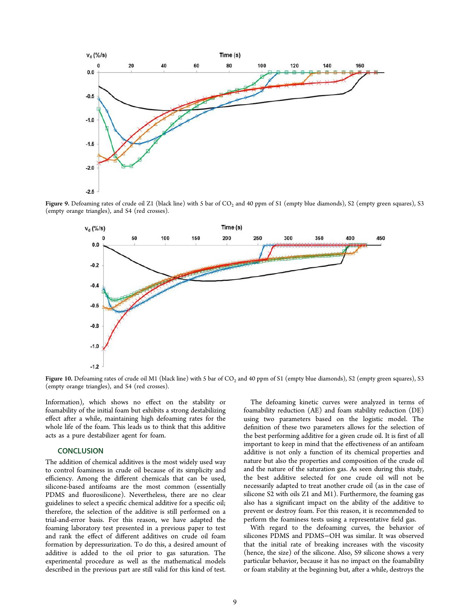<span id="page-9-0"></span>

**Figure 9.** Defoaming rates of crude oil Z1 (black line) with 5 bar of  $CO_2$  and 40 ppm of S1 (empty blue diamonds), S2 (empty green squares), S3 (empty orange triangles), and S4 (red crosses).



Figure 10. Defoaming rates of crude oil M1 (black line) with 5 bar of CO<sup>2</sup> and 40 ppm of S1 (empty blue diamonds), S2 (empty green squares), S3 (empty orange triangles), and S4 (red crosses).

Information), which shows no effect on the stability or foamability of the initial foam but exhibits a strong destabilizing effect after a while, maintaining high defoaming rates for the whole life of the foam. This leads us to think that this additive acts as a pure destabilizer agent for foam.

## **CONCLUSION**

The addition of chemical additives is the most widely used way to control foaminess in crude oil because of its simplicity and efficiency. Among the different chemicals that can be used, silicone-based antifoams are the most common (essentially PDMS and fluorosilicone). Nevertheless, there are no clear guidelines to select a specific chemical additive for a specific oil; therefore, the selection of the additive is still performed on a trial-and-error basis. For this reason, we have adapted the foaming laboratory test presented in a previous paper to test and rank the effect of different additives on crude oil foam formation by depressurization. To do this, a desired amount of additive is added to the oil prior to gas saturation. The experimental procedure as well as the mathematical models described in the previous part are still valid for this kind of test.

The defoaming kinetic curves were analyzed in terms of foamability reduction (AE) and foam stability reduction (DE) using two parameters based on the logistic model. The definition of these two parameters allows for the selection of the best performing additive for a given crude oil. It is first of all important to keep in mind that the effectiveness of an antifoam additive is not only a function of its chemical properties and nature but also the properties and composition of the crude oil and the nature of the saturation gas. As seen during this study, the best additive selected for one crude oil will not be necessarily adapted to treat another crude oil (as in the case of silicone S2 with oils Z1 and M1). Furthermore, the foaming gas also has a significant impact on the ability of the additive to prevent or destroy foam. For this reason, it is recommended to perform the foaminess tests using a representative field gas.

With regard to the defoaming curves, the behavior of silicones PDMS and PDMS−OH was similar. It was observed that the initial rate of breaking increases with the viscosity (hence, the size) of the silicone. Also, S9 silicone shows a very particular behavior, because it has no impact on the foamability or foam stability at the beginning but, after a while, destroys the